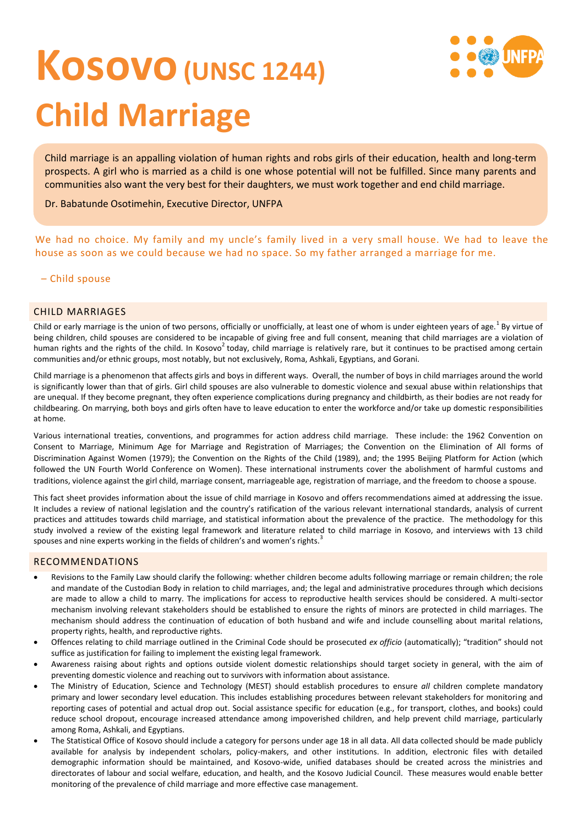# **Kosovo(UNSC 1244) Child Marriage**

Child marriage is an appalling violation of human rights and robs girls of their education, health and long-term prospects. A girl who is married as a child is one whose potential will not be fulfilled. Since many parents and communities also want the very best for their daughters, we must work together and end child marriage.

Dr. Babatunde Osotimehin, Executive Director, UNFPA

We had no choice. My family and my uncle's family lived in a very small house. We had to leave the house as soon as we could because we had no space. So my father arranged a marriage for me.

# – Child spouse

# CHILD MARRIAGES

Child or early marriage is the union of two persons, officially or unofficially, at least one of whom is under eighteen years of age.<sup>1</sup> By virtue of being children, child spouses are considered to be incapable of giving free and full consent, meaning that child marriages are a violation of human rights and the rights of the child. In Kosovo<sup>2</sup> today, child marriage is relatively rare, but it continues to be practised among certain communities and/or ethnic groups, most notably, but not exclusively, Roma, Ashkali, Egyptians, and Gorani.

Child marriage is a phenomenon that affects girls and boys in different ways. Overall, the number of boys in child marriages around the world is significantly lower than that of girls. Girl child spouses are also vulnerable to domestic violence and sexual abuse within relationships that are unequal. If they become pregnant, they often experience complications during pregnancy and childbirth, as their bodies are not ready for childbearing. On marrying, both boys and girls often have to leave education to enter the workforce and/or take up domestic responsibilities at home.

Various international treaties, conventions, and programmes for action address child marriage. These include: the 1962 Convention on Consent to Marriage, Minimum Age for Marriage and Registration of Marriages; the Convention on the Elimination of All forms of Discrimination Against Women (1979); the Convention on the Rights of the Child (1989), and; the 1995 Beijing Platform for Action (which followed the UN Fourth World Conference on Women). These international instruments cover the abolishment of harmful customs and traditions, violence against the girl child, marriage consent, marriageable age, registration of marriage, and the freedom to choose a spouse.

This fact sheet provides information about the issue of child marriage in Kosovo and offers recommendations aimed at addressing the issue. It includes a review of national legislation and the country's ratification of the various relevant international standards, analysis of current practices and attitudes towards child marriage, and statistical information about the prevalence of the practice. The methodology for this study involved a review of the existing legal framework and literature related to child marriage in Kosovo, and interviews with 13 child spouses and nine experts working in the fields of children's and women's rights.<sup>3</sup>

# RECOMMENDATIONS

- Revisions to the Family Law should clarify the following: whether children become adults following marriage or remain children; the role and mandate of the Custodian Body in relation to child marriages, and; the legal and administrative procedures through which decisions are made to allow a child to marry. The implications for access to reproductive health services should be considered. A multi-sector mechanism involving relevant stakeholders should be established to ensure the rights of minors are protected in child marriages. The mechanism should address the continuation of education of both husband and wife and include counselling about marital relations, property rights, health, and reproductive rights.
- Offences relating to child marriage outlined in the Criminal Code should be prosecuted *ex officio* (automatically); "tradition" should not suffice as justification for failing to implement the existing legal framework.
- Awareness raising about rights and options outside violent domestic relationships should target society in general, with the aim of preventing domestic violence and reaching out to survivors with information about assistance.
- The Ministry of Education, Science and Technology (MEST) should establish procedures to ensure *all* children complete mandatory primary and lower secondary level education. This includes establishing procedures between relevant stakeholders for monitoring and reporting cases of potential and actual drop out. Social assistance specific for education (e.g., for transport, clothes, and books) could reduce school dropout, encourage increased attendance among impoverished children, and help prevent child marriage, particularly among Roma, Ashkali, and Egyptians.
- The Statistical Office of Kosovo should include a category for persons under age 18 in all data. All data collected should be made publicly available for analysis by independent scholars, policy-makers, and other institutions. In addition, electronic files with detailed demographic information should be maintained, and Kosovo-wide, unified databases should be created across the ministries and directorates of labour and social welfare, education, and health, and the Kosovo Judicial Council. These measures would enable better monitoring of the prevalence of child marriage and more effective case management.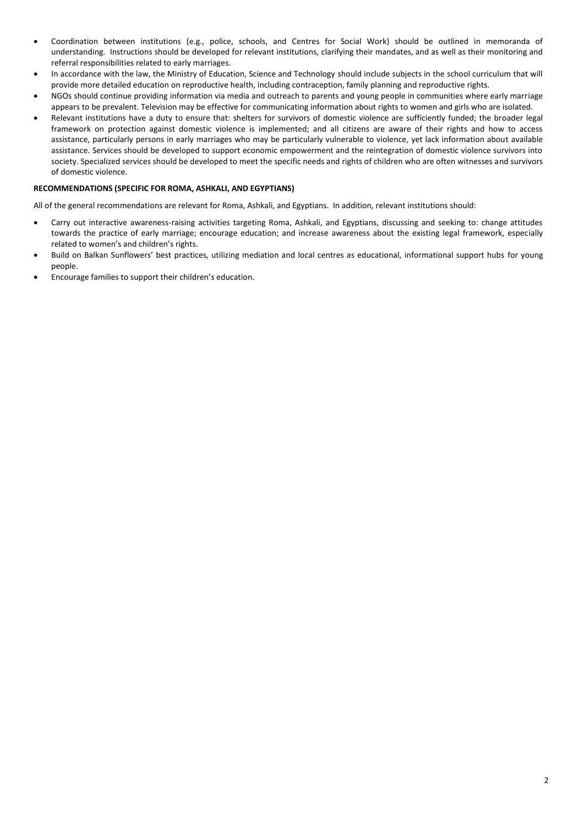- Coordination between institutions (e.g., police, schools, and Centres for Social Work) should be outlined in memoranda of understanding. Instructions should be developed for relevant institutions, clarifying their mandates, and as well as their monitoring and referral responsibilities related to early marriages.
- In accordance with the law, the Ministry of Education, Science and Technology should include subjects in the school curriculum that will provide more detailed education on reproductive health, including contraception, family planning and reproductive rights.
- NGOs should continue providing information via media and outreach to parents and young people in communities where early marriage appears to be prevalent. Television may be effective for communicating information about rights to women and girls who are isolated.
- Relevant institutions have a duty to ensure that: shelters for survivors of domestic violence are sufficiently funded; the broader legal framework on protection against domestic violence is implemented; and all citizens are aware of their rights and how to access assistance, particularly persons in early marriages who may be particularly vulnerable to violence, yet lack information about available assistance. Services should be developed to support economic empowerment and the reintegration of domestic violence survivors into society. Specialized services should be developed to meet the specific needs and rights of children who are often witnesses and survivors of domestic violence.

#### **RECOMMENDATIONS (SPECIFIC FOR ROMA, ASHKALI, AND EGYPTIANS)**

All of the general recommendations are relevant for Roma, Ashkali, and Egyptians. In addition, relevant institutions should:

- Carry out interactive awareness-raising activities targeting Roma, Ashkali, and Egyptians, discussing and seeking to: change attitudes towards the practice of early marriage; encourage education; and increase awareness about the existing legal framework, especially related to women's and children's rights.
- Build on Balkan Sunflowers' best practices, utilizing mediation and local centres as educational, informational support hubs for young people.
- Encourage families to support their children's education.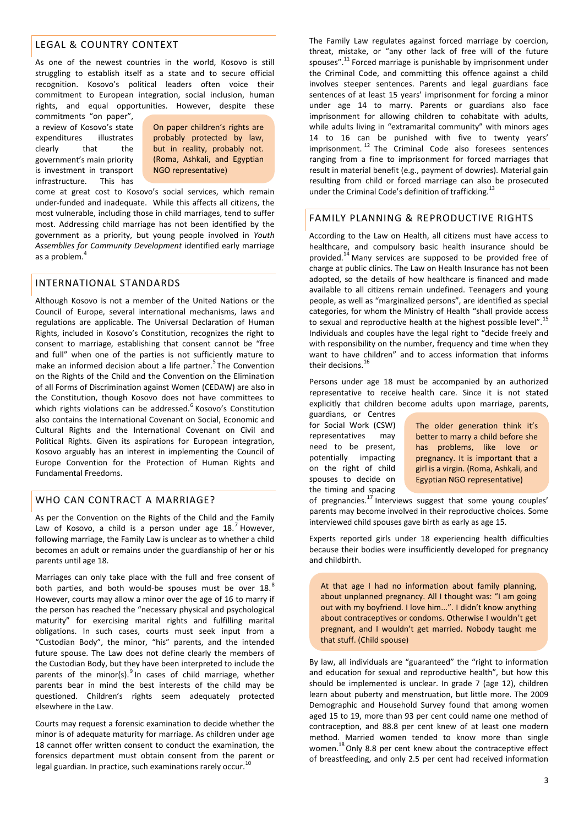# LEGAL & COUNTRY CONTEXT

As one of the newest countries in the world, Kosovo is still struggling to establish itself as a state and to secure official recognition. Kosovo's political leaders often voice their commitment to European integration, social inclusion, human rights, and equal opportunities. However, despite these

commitments "on paper", a review of Kosovo's state expenditures illustrates clearly that the government's main priority is investment in transport infrastructure. This has

On paper children's rights are probably protected by law, but in reality, probably not. (Roma, Ashkali, and Egyptian NGO representative)

come at great cost to Kosovo's social services, which remain under-funded and inadequate. While this affects all citizens, the most vulnerable, including those in child marriages, tend to suffer most. Addressing child marriage has not been identified by the government as a priority, but young people involved in *Youth Assemblies for Community Development* identified early marriage as a problem.<sup>4</sup>

#### INTERNATIONAL STANDARDS

Although Kosovo is not a member of the United Nations or the Council of Europe, several international mechanisms, laws and regulations are applicable. The Universal Declaration of Human Rights, included in Kosovo's Constitution, recognizes the right to consent to marriage, establishing that consent cannot be "free and full" when one of the parties is not sufficiently mature to make an informed decision about a life partner.<sup>5</sup> The Convention on the Rights of the Child and the Convention on the Elimination of all Forms of Discrimination against Women (CEDAW) are also in the Constitution, though Kosovo does not have committees to which rights violations can be addressed.<sup>6</sup> Kosovo's Constitution also contains the International Covenant on Social, Economic and Cultural Rights and the International Covenant on Civil and Political Rights. Given its aspirations for European integration, Kosovo arguably has an interest in implementing the Council of Europe Convention for the Protection of Human Rights and Fundamental Freedoms.

# WHO CAN CONTRACT A MARRIAGE?

As per the Convention on the Rights of the Child and the Family Law of Kosovo, a child is a person under age  $18.^7$  However, following marriage, the Family Law is unclear as to whether a child becomes an adult or remains under the guardianship of her or his parents until age 18.

Marriages can only take place with the full and free consent of both parties, and both would-be spouses must be over  $18.^8$ However, courts may allow a minor over the age of 16 to marry if the person has reached the "necessary physical and psychological maturity" for exercising marital rights and fulfilling marital obligations. In such cases, courts must seek input from a "Custodian Body", the minor, "his" parents, and the intended future spouse. The Law does not define clearly the members of the Custodian Body, but they have been interpreted to include the parents of the minor(s). $9 \text{ ln}$  cases of child marriage, whether parents bear in mind the best interests of the child may be questioned. Children's rights seem adequately protected elsewhere in the Law.

Courts may request a forensic examination to decide whether the minor is of adequate maturity for marriage. As children under age 18 cannot offer written consent to conduct the examination, the forensics department must obtain consent from the parent or legal guardian. In practice, such examinations rarely occur.<sup>1</sup>

The Family Law regulates against forced marriage by coercion, threat, mistake, or "any other lack of free will of the future spouses".<sup>11</sup> Forced marriage is punishable by imprisonment under the Criminal Code, and committing this offence against a child involves steeper sentences. Parents and legal guardians face sentences of at least 15 years' imprisonment for forcing a minor under age 14 to marry. Parents or guardians also face imprisonment for allowing children to cohabitate with adults, while adults living in "extramarital community" with minors ages 14 to 16 can be punished with five to twenty years' imprisonment.<sup>12</sup> The Criminal Code also foresees sentences ranging from a fine to imprisonment for forced marriages that result in material benefit (e.g., payment of dowries). Material gain resulting from child or forced marriage can also be prosecuted under the Criminal Code's definition of trafficking.<sup>13</sup>

# FAMILY PLANNING & REPRODUCTIVE RIGHTS

According to the Law on Health, all citizens must have access to healthcare, and compulsory basic health insurance should be provided.<sup>14</sup> Many services are supposed to be provided free of charge at public clinics. The Law on Health Insurance has not been adopted, so the details of how healthcare is financed and made available to all citizens remain undefined. Teenagers and young people, as well as "marginalized persons", are identified as special categories, for whom the Ministry of Health "shall provide access to sexual and reproductive health at the highest possible level".<sup>15</sup> Individuals and couples have the legal right to "decide freely and with responsibility on the number, frequency and time when they want to have children" and to access information that informs their decisions.<sup>16</sup>

Persons under age 18 must be accompanied by an authorized representative to receive health care. Since it is not stated explicitly that children become adults upon marriage, parents,

guardians, or Centres for Social Work (CSW) representatives may need to be present, potentially impacting on the right of child spouses to decide on the timing and spacing

The older generation think it's better to marry a child before she has problems, like love or pregnancy. It is important that a girl is a virgin. (Roma, Ashkali, and Egyptian NGO representative)

of pregnancies.<sup>17</sup> Interviews suggest that some young couples' parents may become involved in their reproductive choices. Some interviewed child spouses gave birth as early as age 15.

Experts reported girls under 18 experiencing health difficulties because their bodies were insufficiently developed for pregnancy and childbirth.

At that age I had no information about family planning, about unplanned pregnancy. All I thought was: "I am going out with my boyfriend. I love him...". I didn't know anything about contraceptives or condoms. Otherwise I wouldn't get pregnant, and I wouldn't get married. Nobody taught me that stuff. (Child spouse)

By law, all individuals are "guaranteed" the "right to information and education for sexual and reproductive health", but how this should be implemented is unclear. In grade 7 (age 12), children learn about puberty and menstruation, but little more. The 2009 Demographic and Household Survey found that among women aged 15 to 19, more than 93 per cent could name one method of contraception, and 88.8 per cent knew of at least one modern method. Married women tended to know more than single women.<sup>18</sup> Only 8.8 per cent knew about the contraceptive effect of breastfeeding, and only 2.5 per cent had received information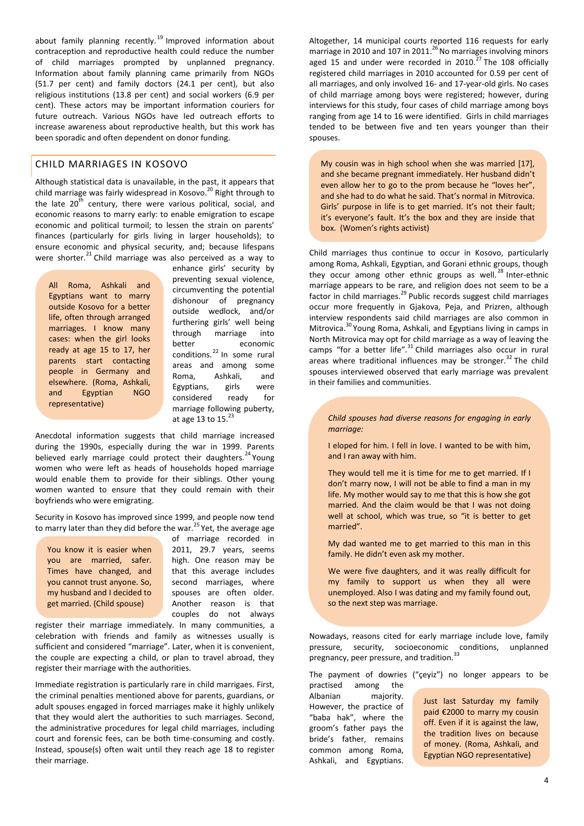about family planning recently.<sup>19</sup> Improved information about contraception and reproductive health could reduce the number of child marriages prompted by unplanned pregnancy. Information about family planning came primarily from NGOs (51.7 per cent) and family doctors (24.1 per cent), but also religious institutions (13.8 per cent) and social workers (6.9 per cent). These actors may be important information couriers for future outreach. Various NGOs have led outreach efforts to increase awareness about reproductive health, but this work has been sporadic and often dependent on donor funding.

#### CHILD MARRIAGES IN KOSOVO

Although statistical data is unavailable, in the past, it appears that child marriage was fairly widespread in Kosovo.<sup>20</sup> Right through to the late  $20^{th}$  century, there were various political, social, and economic reasons to marry early: to enable emigration to escape economic and political turmoil; to lessen the strain on parents' finances (particularly for girls living in larger households); to ensure economic and physical security, and; because lifespans were shorter.<sup>21</sup> Child marriage was also perceived as a way to

All Roma, Ashkali and Egyptians want to marry outside Kosovo for a better life, often through arranged marriages. I know many cases: when the girl looks ready at age 15 to 17, her parents start contacting people in Germany and elsewhere. (Roma, Ashkali, and Egyptian NGO representative)

enhance girls' security by preventing sexual violence, circumventing the potential dishonour of pregnancy outside wedlock, and/or furthering girls' well being through marriage into better economic conditions.<sup>22</sup> In some rural areas and among some Roma, Ashkali, and Egyptians, girls were considered ready for marriage following puberty, at age 13 to  $15.<sup>23</sup>$ 

Anecdotal information suggests that child marriage increased during the 1990s, especially during the war in 1999. Parents believed early marriage could protect their daughters.<sup>24</sup> Young women who were left as heads of households hoped marriage would enable them to provide for their siblings. Other young women wanted to ensure that they could remain with their boyfriends who were emigrating.

Security in Kosovo has improved since 1999, and people now tend to marry later than they did before the war.<sup>25</sup> Yet, the average age

You know it is easier when you are married, safer. Times have changed, and you cannot trust anyone. So, my husband and I decided to get married. (Child spouse)

of marriage recorded in 2011, 29.7 years, seems high. One reason may be that this average includes second marriages, where spouses are often older. Another reason is that couples do not always

register their marriage immediately. In many communities, a celebration with friends and family as witnesses usually is sufficient and considered "marriage". Later, when it is convenient, the couple are expecting a child, or plan to travel abroad, they register their marriage with the authorities.

Immediate registration is particularly rare in child marrigaes. First, the criminal penalties mentioned above for parents, guardians, or adult spouses engaged in forced marriages make it highly unlikely that they would alert the authorities to such marriages. Second, the administrative procedures for legal child marriages, including court and forensic fees, can be both time-consuming and costly. Instead, spouse(s) often wait until they reach age 18 to register their marriage.

Altogether, 14 municipal courts reported 116 requests for early marriage in 2010 and 107 in 2011. $^{26}$  No marriages involving minors aged 15 and under were recorded in 2010. $^{27}$  The 108 officially registered child marriages in 2010 accounted for 0.59 per cent of all marriages, and only involved 16- and 17-year-old girls. No cases of child marriage among boys were registered; however, during interviews for this study, four cases of child marriage among boys ranging from age 14 to 16 were identified. Girls in child marriages tended to be between five and ten years younger than their spouses.

My cousin was in high school when she was married [17], and she became pregnant immediately. Her husband didn't even allow her to go to the prom because he "loves her", and she had to do what he said. That's normal in Mitrovica. Girls' purpose in life is to get married. It's not their fault; it's everyone's fault. It's the box and they are inside that box. (Women's rights activist)

Child marriages thus continue to occur in Kosovo, particularly among Roma, Ashkali, Egyptian, and Gorani ethnic groups, though they occur among other ethnic groups as well. $^{28}$  Inter-ethnic marriage appears to be rare, and religion does not seem to be a factor in child marriages.<sup>29</sup> Public records suggest child marriages occur more frequently in Gjakova, Peja, and Prizren, although interview respondents said child marriages are also common in Mitrovica.<sup>30</sup> Young Roma, Ashkali, and Egyptians living in camps in North Mitrovica may opt for child marriage as a way of leaving the camps "for a better life".<sup>31</sup> Child marriages also occur in rural areas where traditional influences may be stronger.<sup>32</sup> The child spouses interviewed observed that early marriage was prevalent in their families and communities.

*Child spouses had diverse reasons for engaging in early marriage:*

I eloped for him. I fell in love. I wanted to be with him, and I ran away with him.

They would tell me it is time for me to get married. If I don't marry now, I will not be able to find a man in my life. My mother would say to me that this is how she got married. And the claim would be that I was not doing well at school, which was true, so "it is better to get married".

My dad wanted me to get married to this man in this family. He didn't even ask my mother.

We were five daughters, and it was really difficult for my family to support us when they all were unemployed. Also I was dating and my family found out, so the next step was marriage.

Nowadays, reasons cited for early marriage include love, family pressure, security, socioeconomic conditions, unplanned pregnancy, peer pressure, and tradition.<sup>33</sup>

The payment of dowries ("çeyiz") no longer appears to be practised among the Albanian majority. However, the practice of "baba hak", where the groom's father pays the bride's father, remains common among Roma, Ashkali, and Egyptians.

Just last Saturday my family paid €2000 to marry my cousin off. Even if it is against the law, the tradition lives on because of money. (Roma, Ashkali, and Egyptian NGO representative)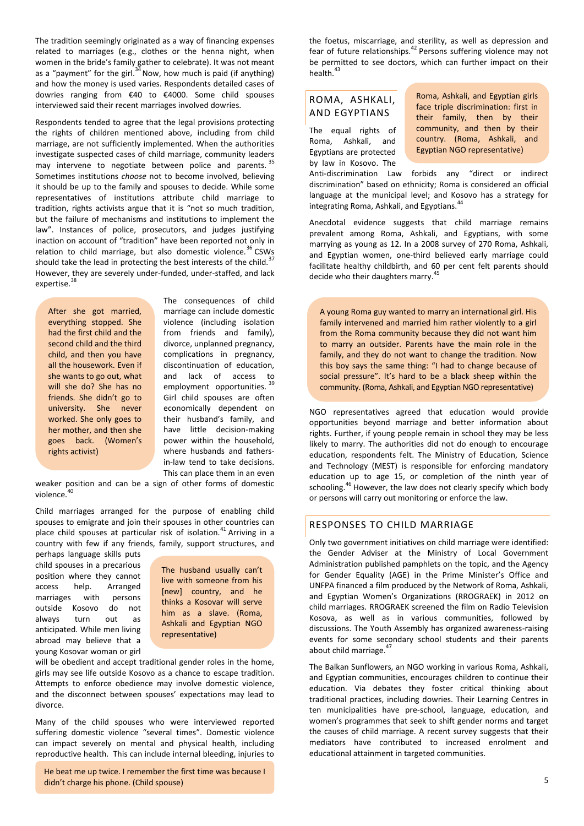The tradition seemingly originated as a way of financing expenses related to marriages (e.g., clothes or the henna night, when women in the bride's family gather to celebrate). It was not meant as a "payment" for the girl. $34$  Now, how much is paid (if anything) and how the money is used varies. Respondents detailed cases of dowries ranging from €40 to €4000. Some child spouses interviewed said their recent marriages involved dowries.

Respondents tended to agree that the legal provisions protecting the rights of children mentioned above, including from child marriage, are not sufficiently implemented. When the authorities investigate suspected cases of child marriage, community leaders may intervene to negotiate between police and parents.<sup>35</sup> Sometimes institutions *choose* not to become involved, believing it should be up to the family and spouses to decide. While some representatives of institutions attribute child marriage to tradition, rights activists argue that it is "not so much tradition, but the failure of mechanisms and institutions to implement the law". Instances of police, prosecutors, and judges justifying inaction on account of "tradition" have been reported not only in relation to child marriage, but also domestic violence.<sup>36</sup> CSWs should take the lead in protecting the best interests of the child.<sup>37</sup> However, they are severely under-funded, under-staffed, and lack expertise.<sup>38</sup>

After she got married, everything stopped. She had the first child and the second child and the third child, and then you have all the housework. Even if she wants to go out, what will she do? She has no friends. She didn't go to university. She never worked. She only goes to her mother, and then she goes back. (Women's rights activist)

The consequences of child marriage can include domestic violence (including isolation from friends and family), divorce, unplanned pregnancy, complications in pregnancy, discontinuation of education, and lack of access to employment opportunities. <sup>39</sup> Girl child spouses are often economically dependent on their husband's family, and have little decision-making power within the household, where husbands and fathersin-law tend to take decisions. This can place them in an even

weaker position and can be a sign of other forms of domestic violence.<sup>40</sup>

Child marriages arranged for the purpose of enabling child spouses to emigrate and join their spouses in other countries can place child spouses at particular risk of isolation.<sup>41</sup> Arriving in a country with few if any friends, family, support structures, and

perhaps language skills puts child spouses in a precarious position where they cannot access help. Arranged marriages with persons outside Kosovo do not always turn out as anticipated. While men living abroad may believe that a young Kosovar woman or girl

The husband usually can't live with someone from his [new] country, and he thinks a Kosovar will serve him as a slave. (Roma, Ashkali and Egyptian NGO representative)

will be obedient and accept traditional gender roles in the home, girls may see life outside Kosovo as a chance to escape tradition. Attempts to enforce obedience may involve domestic violence, and the disconnect between spouses' expectations may lead to divorce.

Many of the child spouses who were interviewed reported suffering domestic violence "several times". Domestic violence can impact severely on mental and physical health, including reproductive health. This can include internal bleeding, injuries to

He beat me up twice. I remember the first time was because I didn't charge his phone. (Child spouse)

the foetus, miscarriage, and sterility, as well as depression and fear of future relationships.<sup>42</sup> Persons suffering violence may not be permitted to see doctors, which can further impact on their health $43$ 

# ROMA, ASHKALI, AND EGYPTIANS

The equal rights of Roma, Ashkali, and Egyptians are protected by law in Kosovo. The Roma, Ashkali, and Egyptian girls face triple discrimination: first in their family, then by their community, and then by their country. (Roma, Ashkali, and Egyptian NGO representative)

Anti-discrimination Law forbids any "direct or indirect discrimination" based on ethnicity; Roma is considered an official language at the municipal level; and Kosovo has a strategy for integrating Roma, Ashkali, and Egyptians.<sup>44</sup>

Anecdotal evidence suggests that child marriage remains prevalent among Roma, Ashkali, and Egyptians, with some marrying as young as 12. In a 2008 survey of 270 Roma, Ashkali, and Egyptian women, one-third believed early marriage could facilitate healthy childbirth, and 60 per cent felt parents should decide who their daughters marry.<sup>45</sup>

A young Roma guy wanted to marry an international girl. His family intervened and married him rather violently to a girl from the Roma community because they did not want him to marry an outsider. Parents have the main role in the family, and they do not want to change the tradition. Now this boy says the same thing: "I had to change because of social pressure". It's hard to be a black sheep within the community. (Roma, Ashkali, and Egyptian NGO representative)

NGO representatives agreed that education would provide opportunities beyond marriage and better information about rights. Further, if young people remain in school they may be less likely to marry. The authorities did not do enough to encourage education, respondents felt. The Ministry of Education, Science and Technology (MEST) is responsible for enforcing mandatory education up to age 15, or completion of the ninth year of schooling.<sup>46</sup> However, the law does not clearly specify which body or persons will carry out monitoring or enforce the law.

# RESPONSES TO CHILD MARRIAGE

Only two government initiatives on child marriage were identified: the Gender Adviser at the Ministry of Local Government Administration published pamphlets on the topic, and the Agency for Gender Equality (AGE) in the Prime Minister's Office and UNFPA financed a film produced by the Network of Roma, Ashkali, and Egyptian Women's Organizations (RROGRAEK) in 2012 on child marriages. RROGRAEK screened the film on Radio Television Kosova, as well as in various communities, followed by discussions. The Youth Assembly has organized awareness-raising events for some secondary school students and their parents about child marriage.<sup>47</sup>

The Balkan Sunflowers, an NGO working in various Roma, Ashkali, and Egyptian communities, encourages children to continue their education. Via debates they foster critical thinking about traditional practices, including dowries. Their Learning Centres in ten municipalities have pre-school, language, education, and women's programmes that seek to shift gender norms and target the causes of child marriage. A recent survey suggests that their mediators have contributed to increased enrolment and educational attainment in targeted communities.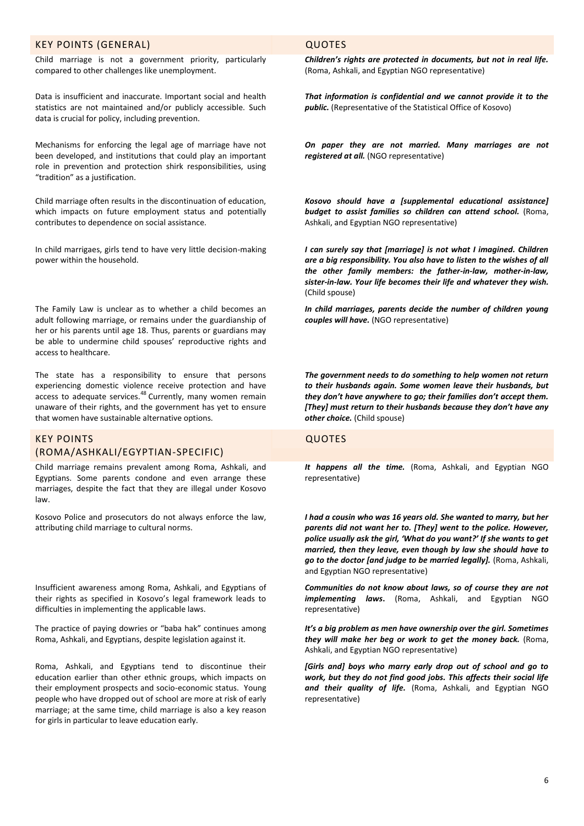#### KEY POINTS (GENERAL) QUOTES

Child marriage is not a government priority, particularly compared to other challenges like unemployment.

Data is insufficient and inaccurate. Important social and health statistics are not maintained and/or publicly accessible. Such data is crucial for policy, including prevention.

Mechanisms for enforcing the legal age of marriage have not been developed, and institutions that could play an important role in prevention and protection shirk responsibilities, using "tradition" as a justification.

Child marriage often results in the discontinuation of education, which impacts on future employment status and potentially contributes to dependence on social assistance.

In child marrigaes, girls tend to have very little decision-making power within the household.

The Family Law is unclear as to whether a child becomes an adult following marriage, or remains under the guardianship of her or his parents until age 18. Thus, parents or guardians may be able to undermine child spouses' reproductive rights and access to healthcare.

The state has a responsibility to ensure that persons experiencing domestic violence receive protection and have access to adequate services.<sup>48</sup> Currently, many women remain unaware of their rights, and the government has yet to ensure that women have sustainable alternative options.

# KEY POINTS (ROMA/ASHKALI/EGYPTIAN-SPECIFIC)

Child marriage remains prevalent among Roma, Ashkali, and Egyptians. Some parents condone and even arrange these marriages, despite the fact that they are illegal under Kosovo law.

Kosovo Police and prosecutors do not always enforce the law, attributing child marriage to cultural norms.

Insufficient awareness among Roma, Ashkali, and Egyptians of their rights as specified in Kosovo's legal framework leads to difficulties in implementing the applicable laws.

The practice of paying dowries or "baba hak" continues among Roma, Ashkali, and Egyptians, despite legislation against it.

Roma, Ashkali, and Egyptians tend to discontinue their education earlier than other ethnic groups, which impacts on their employment prospects and socio-economic status. Young people who have dropped out of school are more at risk of early marriage; at the same time, child marriage is also a key reason for girls in particular to leave education early.

*Children's rights are protected in documents, but not in real life.*  (Roma, Ashkali, and Egyptian NGO representative)

*That information is confidential and we cannot provide it to the public.* (Representative of the Statistical Office of Kosovo)

*On paper they are not married. Many marriages are not registered at all.* (NGO representative)

*Kosovo should have a [supplemental educational assistance] budget to assist families so children can attend school.* (Roma, Ashkali, and Egyptian NGO representative)

*I can surely say that [marriage] is not what I imagined. Children are a big responsibility. You also have to listen to the wishes of all the other family members: the father-in-law, mother-in-law, sister-in-law. Your life becomes their life and whatever they wish.* (Child spouse)

*In child marriages, parents decide the number of children young couples will have.* (NGO representative)

*The government needs to do something to help women not return to their husbands again. Some women leave their husbands, but they don't have anywhere to go; their families don't accept them. [They] must return to their husbands because they don't have any other choice.* (Child spouse)

# QUOTES

*It happens all the time.* (Roma, Ashkali, and Egyptian NGO representative)

*I had a cousin who was 16 years old. She wanted to marry, but her parents did not want her to. [They] went to the police. However, police usually ask the girl, 'What do you want?' If she wants to get married, then they leave, even though by law she should have to go to the doctor [and judge to be married legally].* (Roma, Ashkali, and Egyptian NGO representative)

*Communities do not know about laws, so of course they are not implementing laws***.** (Roma, Ashkali, and Egyptian NGO representative)

*It's a big problem as men have ownership over the girl. Sometimes they will make her beg or work to get the money back.* (Roma, Ashkali, and Egyptian NGO representative)

*[Girls and] boys who marry early drop out of school and go to work, but they do not find good jobs. This affects their social life and their quality of life.* (Roma, Ashkali, and Egyptian NGO representative)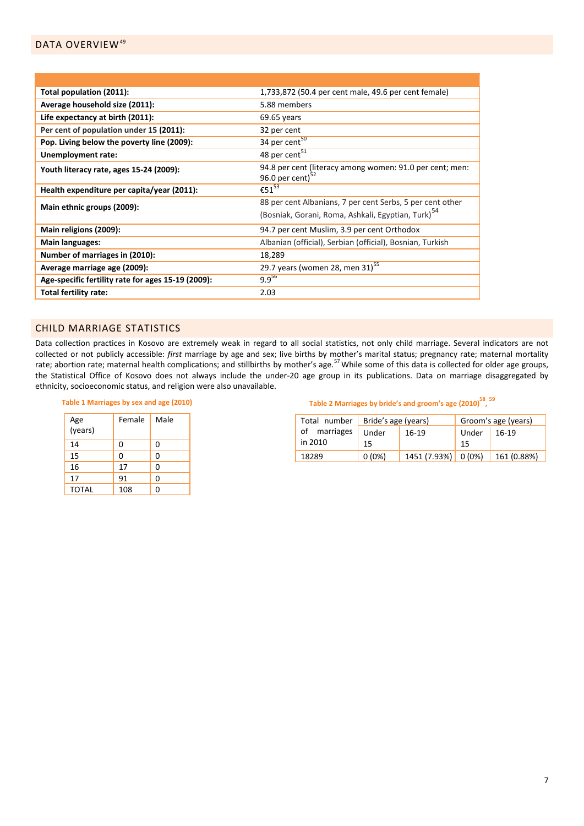| Total population (2011):                           | 1,733,872 (50.4 per cent male, 49.6 per cent female)           |  |  |
|----------------------------------------------------|----------------------------------------------------------------|--|--|
| Average household size (2011):                     | 5.88 members                                                   |  |  |
| Life expectancy at birth (2011):                   | $69.65$ years                                                  |  |  |
| Per cent of population under 15 (2011):            | 32 per cent                                                    |  |  |
| Pop. Living below the poverty line (2009):         | 34 per cent <sup>50</sup>                                      |  |  |
| Unemployment rate:                                 | 48 per cent <sup>51</sup>                                      |  |  |
| Youth literacy rate, ages 15-24 (2009):            | 94.8 per cent (literacy among women: 91.0 per cent; men:       |  |  |
|                                                    | 96.0 per cent) $52$                                            |  |  |
| Health expenditure per capita/year (2011):         | $\overline{\epsilon}$ 51 <sup>53</sup>                         |  |  |
| Main ethnic groups (2009):                         | 88 per cent Albanians, 7 per cent Serbs, 5 per cent other      |  |  |
|                                                    | (Bosniak, Gorani, Roma, Ashkali, Egyptian, Turk) <sup>54</sup> |  |  |
| Main religions (2009):                             | 94.7 per cent Muslim, 3.9 per cent Orthodox                    |  |  |
| Main languages:                                    | Albanian (official), Serbian (official), Bosnian, Turkish      |  |  |
| Number of marriages in (2010):                     | 18,289                                                         |  |  |
| Average marriage age (2009):                       | 29.7 years (women 28, men 31) <sup>55</sup>                    |  |  |
| Age-specific fertility rate for ages 15-19 (2009): | $9.9^{56}$                                                     |  |  |
| Total fertility rate:                              | 2.03                                                           |  |  |

# CHILD MARRIAGE STATISTICS

Data collection practices in Kosovo are extremely weak in regard to all social statistics, not only child marriage. Several indicators are not collected or not publicly accessible: *first* marriage by age and sex; live births by mother's marital status; pregnancy rate; maternal mortality rate; abortion rate; maternal health complications; and stillbirths by mother's age.<sup>57</sup> While some of this data is collected for older age groups, the Statistical Office of Kosovo does not always include the under-20 age group in its publications. Data on marriage disaggregated by ethnicity, socioeconomic status, and religion were also unavailable.

#### **Table 1 Marriages by sex and age (2010)**

| Age<br>(years) | Female | Male |
|----------------|--------|------|
| 14             | 0      | 0    |
| 15             | 0      | 0    |
| 16             | 17     | 0    |
| 17             | 91     | 0    |
| <b>TOTAL</b>   | 108    | O    |

# **Table 2 Marriages by bride's and groom's age (2010)<sup>58</sup> , 59**

|                         | Total number   Bride's age (years) |                     | Groom's age (years) |             |
|-------------------------|------------------------------------|---------------------|---------------------|-------------|
| of marriages<br>in 2010 | Under<br>15                        | $16-19$             | ' Under<br>15       | 16-19       |
| 18289                   | $0(0\%)$                           | 1451 (7.93%) 0 (0%) |                     | 161 (0.88%) |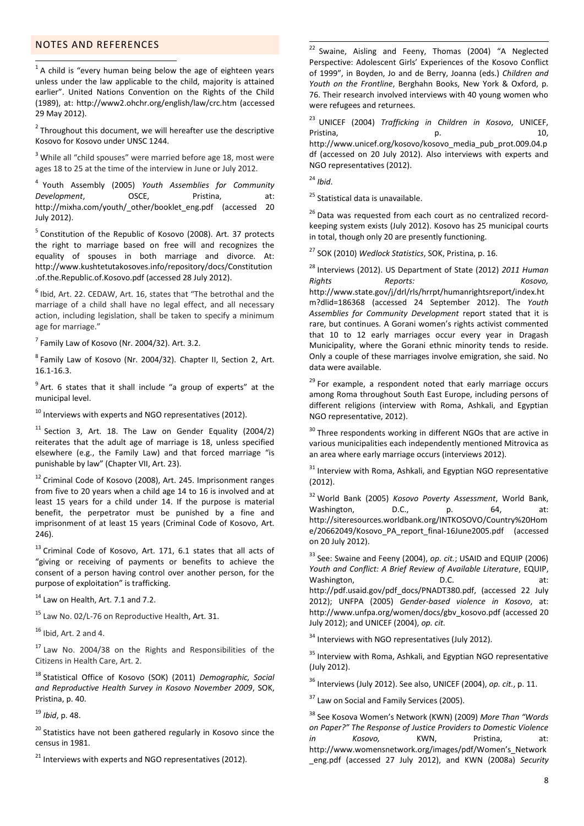# NOTES AND REFERENCES

 1 A child is "every human being below the age of eighteen years unless under the law applicable to the child, majority is attained earlier". United Nations Convention on the Rights of the Child (1989), at:<http://www2.ohchr.org/english/law/crc.htm> (accessed 29 May 2012).

 $2$  Throughout this document, we will hereafter use the descriptive Kosovo for Kosovo under UNSC 1244.

<sup>3</sup> While all "child spouses" were married before age 18, most were ages 18 to 25 at the time of the interview in June or July 2012.

4 Youth Assembly (2005) *Youth Assemblies for Community Development*, OSCE, Pristina, at: [http://mixha.com/youth/\\_other/booklet\\_eng.pdf](http://mixha.com/youth/_other/booklet_eng.pdf) (accessed 20 July 2012).

<sup>5</sup> Constitution of the Republic of Kosovo (2008). Art. 37 protects the right to marriage based on free will and recognizes the equality of spouses in both marriage and divorce. At: [http://www.kushtetutakosoves.info/repository/docs/Constitution](http://www.kushtetutakosoves.info/repository/docs/Constitution.of.the.Republic.of.Kosovo.pdf) [.of.the.Republic.of.Kosovo.pdf](http://www.kushtetutakosoves.info/repository/docs/Constitution.of.the.Republic.of.Kosovo.pdf) (accessed 28 July 2012).

 $<sup>6</sup>$  Ibid, Art. 22. CEDAW, Art. 16, states that "The betrothal and the</sup> marriage of a child shall have no legal effect, and all necessary action, including legislation, shall be taken to specify a minimum age for marriage."

 $<sup>7</sup>$  Family Law of Kosovo (Nr. 2004/32). Art. 3.2.</sup>

<sup>8</sup> Family Law of Kosovo (Nr. 2004/32). Chapter II, Section 2, Art. 16.1-16.3.

<sup>9</sup> Art. 6 states that it shall include "a group of experts" at the municipal level.

 $10$  Interviews with experts and NGO representatives (2012).

 $11$  Section 3, Art. 18. The Law on Gender Equality (2004/2) reiterates that the adult age of marriage is 18, unless specified elsewhere (e.g., the Family Law) and that forced marriage "is punishable by law" (Chapter VII, Art. 23).

<sup>12</sup> Criminal Code of Kosovo (2008), Art. 245. Imprisonment ranges from five to 20 years when a child age 14 to 16 is involved and at least 15 years for a child under 14. If the purpose is material benefit, the perpetrator must be punished by a fine and imprisonment of at least 15 years (Criminal Code of Kosovo, Art. 246).

<sup>13</sup> Criminal Code of Kosovo, Art. 171, 6.1 states that all acts of "giving or receiving of payments or benefits to achieve the consent of a person having control over another person, for the purpose of exploitation" is trafficking.

<sup>14</sup> Law on Health, Art. 7.1 and 7.2.

<sup>15</sup> Law No. 02/L-76 on Reproductive Health, Art. 31.

 $16$  Ibid, Art. 2 and 4.

<sup>17</sup> Law No. 2004/38 on the Rights and Responsibilities of the Citizens in Health Care, Art. 2.

<sup>18</sup> Statistical Office of Kosovo (SOK) (2011) *Demographic, Social and Reproductive Health Survey in Kosovo November 2009*, SOK, Pristina, p. 40.

<sup>19</sup> *Ibid*, p. 48.

<sup>20</sup> Statistics have not been gathered regularly in Kosovo since the census in 1981.

 $21$  Interviews with experts and NGO representatives (2012).

 $22$  Swaine, Aisling and Feeny, Thomas (2004) "A Neglected Perspective: Adolescent Girls' Experiences of the Kosovo Conflict of 1999", in Boyden, Jo and de Berry, Joanna (eds.) *Children and Youth on the Frontline*, Berghahn Books, New York & Oxford, p. 76. Their research involved interviews with 40 young women who were refugees and returnees.

<sup>23</sup> UNICEF (2004) *Trafficking in Children in Kosovo*, UNICEF, Pristina, and the p. the p. the p. the p. the parameter of  $p$ . [http://www.unicef.org/kosovo/kosovo\\_media\\_pub\\_prot.009.04.p](http://www.unicef.org/kosovo/kosovo_media_pub_prot.009.04.pdf.) [df](http://www.unicef.org/kosovo/kosovo_media_pub_prot.009.04.pdf.) (accessed on 20 July 2012). Also interviews with experts and NGO representatives (2012).

<sup>24</sup> *Ibid*.

1

<sup>25</sup> Statistical data is unavailable.

<sup>26</sup> Data was requested from each court as no centralized recordkeeping system exists (July 2012). Kosovo has 25 municipal courts in total, though only 20 are presently functioning.

<sup>27</sup> SOK (2010) *Wedlock Statistics*, SOK, Pristina, p. 16.

<sup>28</sup> Interviews (2012). US Department of State (2012) *2011 Human Rights Reports: Kosovo,*  http://www.state.gov/j/drl/rls/hrrpt/humanrightsreport/index.ht m?dlid=186368 (accessed 24 September 2012). The *Youth Assemblies for Community Development* report stated that it is rare, but continues. A Gorani women's rights activist commented that 10 to 12 early marriages occur every year in Dragash Municipality, where the Gorani ethnic minority tends to reside. Only a couple of these marriages involve emigration, she said. No data were available.

<sup>29</sup> For example, a respondent noted that early marriage occurs among Roma throughout South East Europe, including persons of different religions (interview with Roma, Ashkali, and Egyptian NGO representative, 2012).

 $30$  Three respondents working in different NGOs that are active in various municipalities each independently mentioned Mitrovica as an area where early marriage occurs (interviews 2012).

 $31$  Interview with Roma, Ashkali, and Egyptian NGO representative (2012).

<sup>32</sup> World Bank (2005) *Kosovo Poverty Assessment*, World Bank, Washington, D.C., p. 64, at: [http://siteresources.worldbank.org/INTKOSOVO/Country%20Hom](http://siteresources.worldbank.org/INTKOSOVO/Country%20Home/20662049/Kosovo_PA_report_final-16June2005.pdf.) [e/20662049/Kosovo\\_PA\\_report\\_final-16June2005.pdf](http://siteresources.worldbank.org/INTKOSOVO/Country%20Home/20662049/Kosovo_PA_report_final-16June2005.pdf.) (accessed on 20 July 2012).

<sup>33</sup> See: Swaine and Feeny (2004), *op. cit.*; USAID and EQUIP (2006) *Youth and Conflict: A Brief Review of Available Literature*, EQUIP, Washington, and the D.C. The contract of the part of the part of the contract of the contract of the contract of the contract of the contract of the contract of the contract of the contract of the contract of the contract [http://pdf.usaid.gov/pdf\\_docs/PNADT380.pdf,](http://pdf.usaid.gov/pdf_docs/PNADT380.pdf.) (accessed 22 July 2012); UNFPA (2005) *Gender-based violence in Kosovo*, at: [http://](file:///C:/Users/HP/Dropbox/AppData/Local/Dropbox/CHILD%20MARRIAGES/COUNTRIES/Kosovo/http)[www.unfpa.org/women/docs/gbv\\_kosovo.pdf](http://www.unfpa.org/women/docs/gbv_kosovo.pdf.) (accessed 20 July 2012); and UNICEF (2004), *op. cit.*

<sup>34</sup> Interviews with NGO representatives (July 2012).

<sup>35</sup> Interview with Roma. Ashkali, and Egyptian NGO representative (July 2012).

<sup>36</sup> Interviews (July 2012). See also, UNICEF (2004), *op. cit.*, p. 11.

<sup>37</sup> Law on Social and Family Services (2005).

<sup>38</sup> See Kosova Women's Network (KWN) (2009) *More Than "Words on Paper?" The Response of Justice Providers to Domestic Violence in Kosovo,* KWN, Pristina, at: [http://www.womensnetwork.org/images/pdf/Women's\\_Network](http://www.womensnetwork.org/images/pdf/Women) [\\_eng.pdf](http://www.womensnetwork.org/images/pdf/Women) (accessed 27 July 2012), and KWN (2008a) *Security*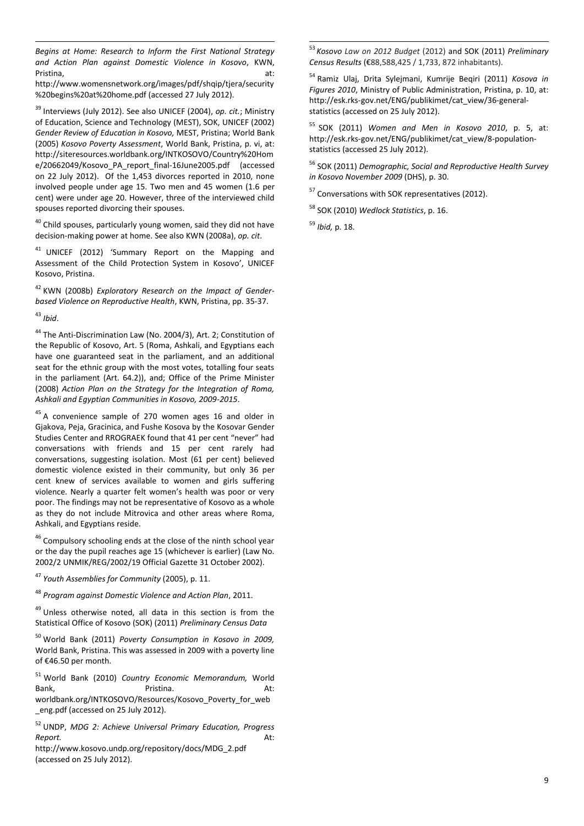*Begins at Home: Research to Inform the First National Strategy and Action Plan against Domestic Violence in Kosovo*, KWN, Pristina, at:

[http://www.womensnetwork.org/images/pdf/shqip/tjera/security](http://www.womensnetwork.org/images/pdf/shqip/tjera/security%20begins%20at%20home.pdf) [%20begins%20at%20home.pdf](http://www.womensnetwork.org/images/pdf/shqip/tjera/security%20begins%20at%20home.pdf) (accessed 27 July 2012).

<sup>39</sup> Interviews (July 2012). See also UNICEF (2004), *op. cit.*; Ministry of Education, Science and Technology (MEST), SOK, UNICEF (2002) *Gender Review of Education in Kosovo,* MEST, Pristina; World Bank (2005) *Kosovo Poverty Assessment*, World Bank, Pristina, p. vi, at: [http://](file:///C:/Users/HP/Dropbox/AppData/Local/Dropbox/CHILD%20MARRIAGES/COUNTRIES/Kosovo/http)[siteresources.worldbank.org/INTKOSOVO/Country%20Hom](http://siteresources.worldbank.org/INTKOSOVO/Country%20Home/20662049/Kosovo_PA_report_final-16June2005.pdf) [e/20662049/Kosovo\\_PA\\_report\\_final-16June2005.pdf](http://siteresources.worldbank.org/INTKOSOVO/Country%20Home/20662049/Kosovo_PA_report_final-16June2005.pdf) (accessed on 22 July 2012). Of the 1,453 divorces reported in 2010, none involved people under age 15. Two men and 45 women (1.6 per cent) were under age 20. However, three of the interviewed child spouses reported divorcing their spouses.

 $40$  Child spouses, particularly young women, said they did not have decision-making power at home. See also KWN (2008a), *op. cit*.

<sup>41</sup> UNICEF (2012) 'Summary Report on the Mapping and Assessment of the Child Protection System in Kosovo', UNICEF Kosovo, Pristina.

<sup>42</sup> KWN (2008b) *Exploratory Research on the Impact of Genderbased Violence on Reproductive Health*, KWN, Pristina, pp. 35-37.

<sup>43</sup> *Ibid*.

1

<sup>44</sup> The Anti-Discrimination Law (No. 2004/3), Art. 2; Constitution of the Republic of Kosovo, Art. 5 (Roma, Ashkali, and Egyptians each have one guaranteed seat in the parliament, and an additional seat for the ethnic group with the most votes, totalling four seats in the parliament (Art. 64.2)), and; Office of the Prime Minister (2008) *Action Plan on the Strategy for the Integration of Roma, Ashkali and Egyptian Communities in Kosovo, 2009-2015*.

 $45$  A convenience sample of 270 women ages 16 and older in Gjakova, Peja, Gracinica, and Fushe Kosova by the Kosovar Gender Studies Center and RROGRAEK found that 41 per cent "never" had conversations with friends and 15 per cent rarely had conversations, suggesting isolation. Most (61 per cent) believed domestic violence existed in their community, but only 36 per cent knew of services available to women and girls suffering violence. Nearly a quarter felt women's health was poor or very poor. The findings may not be representative of Kosovo as a whole as they do not include Mitrovica and other areas where Roma, Ashkali, and Egyptians reside.

<sup>46</sup> Compulsory schooling ends at the close of the ninth school year or the day the pupil reaches age 15 (whichever is earlier) (Law No. 2002/2 UNMIK/REG/2002/19 Official Gazette 31 October 2002).

<sup>47</sup> *Youth Assemblies for Community* (2005), p. 11.

<sup>48</sup> *Program against Domestic Violence and Action Plan*, 2011.

 $49$  Unless otherwise noted, all data in this section is from the Statistical Office of Kosovo (SOK) (2011) *Preliminary Census Data*

<sup>50</sup> World Bank (2011) *Poverty Consumption in Kosovo in 2009,*  World Bank, Pristina. This was assessed in 2009 with a poverty line of €46.50 per month.

<sup>51</sup> World Bank (2010) *Country Economic Memorandum,* World Bank, **Bank**, **Bank**, **Bank**, **At: Pristina.** At: worldbank.org/INTKOSOVO/Resources/Kosovo\_Poverty\_for\_web \_eng.pdf (accessed on 25 July 2012).

<sup>52</sup> UNDP, *MDG 2: Achieve Universal Primary Education, Progress Report.* At:

[http://](file:///C:/Users/HP/Dropbox/EECARO%20EMarriages%20CA%20Turkey/FINAL%20EDITS%20SEE/http)[www.kosovo.undp.org/repository/docs/MDG\\_2.pdf](http://www.kosovo.undp.org/repository/docs/MDG_2.pdf) (accessed on 25 July 2012).

<sup>53</sup> *Kosovo Law on 2012 Budget* (2012) and SOK (2011) *Preliminary Census Results* (€88,588,425 / 1,733, 872 inhabitants).

<sup>54</sup> Ramiz Ulaj, Drita Sylejmani, Kumrije Beqiri (2011) *Kosova in Figures 2010*, Ministry of Public Administration, Pristina, p. 10, at: [http://esk.rks-gov.net/ENG/publikimet/cat\\_view/36-general](http://esk.rks-gov.net/ENG/publikimet/cat_view/36-general-statistics.)[statistics](http://esk.rks-gov.net/ENG/publikimet/cat_view/36-general-statistics.) (accessed on 25 July 2012).

<sup>55</sup> SOK (2011) *Women and Men in Kosovo 2010*, p. 5, at: [http://esk.rks-gov.net/ENG/publikimet/cat\\_view/8-population](http://esk.rks-gov.net/ENG/publikimet/cat_view/8-population-statistics)[statistics](http://esk.rks-gov.net/ENG/publikimet/cat_view/8-population-statistics) (accessed 25 July 2012).

<sup>56</sup> SOK (2011) *Demographic, Social and Reproductive Health Survey in Kosovo November 2009* (DHS), p. 30.

 $57$  Conversations with SOK representatives (2012).

<sup>58</sup> SOK (2010) *Wedlock Statistics*, p. 16.

<sup>59</sup> *Ibid,* p. 18.

1